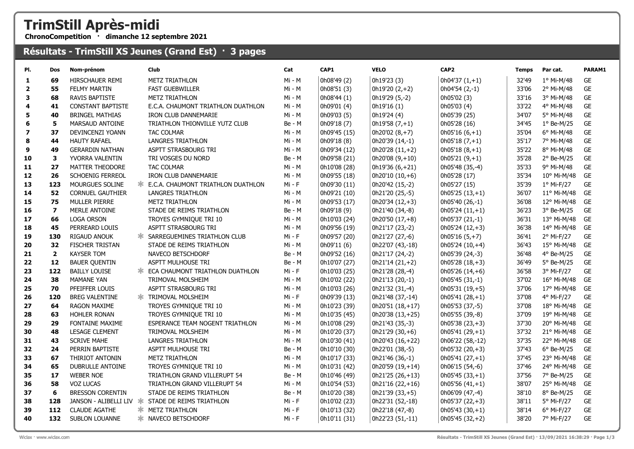## TrimStill Après-midi

ChronoCompetition · dimanche 12 septembre 2021

## Résultats - TrimStill XS Jeunes (Grand Est) · 3 pages

| PI.            | Dos                     | Nom-prénom               | <b>Club</b>                                      | Cat      | CAP1         | <b>VELO</b>        | CAP <sub>2</sub>    | <b>Temps</b> | Par cat.            | PARAM1    |
|----------------|-------------------------|--------------------------|--------------------------------------------------|----------|--------------|--------------------|---------------------|--------------|---------------------|-----------|
| 1              | 69                      | HIRSCHAUER REMI          | <b>METZ TRIATHLON</b>                            | Mi - M   | 0h08'49 (2)  | 0h19'23 (3)        | $  0h04'37(1,+1)$   | 32'49        | 1º Mi-M/48          | GE        |
| $\overline{2}$ | 55                      | <b>FELMY MARTIN</b>      | <b>FAST GUEBWILLER</b>                           | Mi - M   | 0h08'51 (3)  | $0h19'20(2,+2)$    | 0h04'54 (2,-1)      | 33'06        | 2° Mi-M/48          | <b>GE</b> |
| 3              | 68                      | <b>RAVIS BAPTISTE</b>    | <b>METZ TRIATHLON</b>                            | Mi - M   | 0h08'44 (1)  | 0h19'29 (5,-2)     | 0h05'02 (3)         | 33'16        | 3° Mi-M/48          | GE        |
| 4              | 41                      | <b>CONSTANT BAPTISTE</b> | E.C.A. CHAUMONT TRIATHLON DUATHLON               | Mi - M   | 0h09'01 (4)  | 0h19'16 (1)        | 0h05'03 (4)         | 33'22        | 4° Mi-M/48          | GE        |
| 5              | 40                      | <b>BRINGEL MATHIAS</b>   | IRON CLUB DANNEMARIE                             | Mi - M   | 0h09'03 (5)  | 0h19'24 (4)        | 0h05'39 (25)        | 34'07        | 5° Mi-M/48          | GE        |
| 6              | 5                       | MARSAUD ANTOINE          | TRIATHLON THIONVILLE YUTZ CLUB                   | Be - M   | 0h09'18 (7)  | $0h19'58(7,+1)$    | 0h05'28 (16)        | 34'45        | $1°$ Be-M/25        | GE        |
| 7              | 37                      | DEVINCENZI YOANN         | <b>TAC COLMAR</b>                                | Mi - M   | 0h09'45 (15) | $0h20'02(8,+7)$    | $0h05'16(6,+1)$     | 35'04        | 6° Mi-M/48          | <b>GE</b> |
| 8              | 44                      | <b>HAUTY RAFAEL</b>      | <b>LANGRES TRIATHLON</b>                         | Mi - M   | 0h09'18 (8)  | 0h20'39 (14,-1)    | $0h05'18(7,+1)$     | 35'17        | 7° Mi-M/48          | GE        |
| 9              | 49                      | <b>GERARDIN NATHAN</b>   | ASPTT STRASBOURG TRI                             | Mi - M   | 0h09'34 (12) | 0h20'28 (11,+2)    | $0h05'18(8,+1)$     | 35'22        | 8° Mi-M/48          | <b>GE</b> |
| 10             | 3                       | YVORRA VALENTIN          | TRI VOSGES DU NORD                               | Be - M   | 0h09'58 (21) | 0h20'08 $(9, +10)$ | $0h05'21(9,+1)$     | 35'28        | $2^{\circ}$ Be-M/25 | GE        |
| 11             | 27                      | MATTER THEODORE          | TAC COLMAR                                       | Mi - M   | 0h10'08 (28) | $0h19'36(6,+21)$   | 0h05'48 (35,-4)     | 35'33        | 9° Mi-M/48          | <b>GE</b> |
| 12             | 26                      | SCHOENIG FERREOL         | IRON CLUB DANNEMARIE                             | Mi - M   | 0h09'55 (18) | $0h20'10(10,+6)$   | 0h05'28 (17)        | 35'34        | 10° Mi-M/48         | GE        |
| 13             | 123                     | MOURGUES SOLINE          | <b>* E.C.A. CHAUMONT TRIATHLON DUATHLON</b>      | Mi - F   | 0h09'30 (11) | 0h20'42 (15,-2)    | 0h05'27 (15)        | 35'39        | 1º Mi-F/27          | GE        |
| 14             | 52                      | <b>CORNUEL GAUTHIER</b>  | <b>LANGRES TRIATHLON</b>                         | Mi - M   | 0h09'21 (10) | 0h21'20 (25,-5)    | $0h05'25(13,+1)$    | 36'07        | 11° Mi-M/48         | GE        |
| 15             | 75                      | <b>MULLER PIERRE</b>     | <b>METZ TRIATHLON</b>                            | Mi - M   | 0h09'53 (17) | 0h20'34 (12,+3)    | 0h05'40 (26,-1)     | 36'08        | 12° Mi-M/48         | <b>GE</b> |
| 16             | $\overline{\mathbf{z}}$ | MERLE ANTOINE            | STADE DE REIMS TRIATHLON                         | Be - M   | 0h09'18 (9)  | 0h21'40 (34,-8)    | $0h05'24(11,+1)$    | 36'23        | 3° Be-M/25          | <b>GE</b> |
| 17             | 66                      | <b>LOGA ORSON</b>        | TROYES GYMNIQUE TRI 10                           | Mi - M   | 0h10'03 (24) | 0h20'50 (17,+8)    | 0h05'37 (21,-1)     | 36'31        | 13° Mi-M/48         | <b>GE</b> |
| 18             | 45                      | PERREARD LOUIS           | ASPTT STRASBOURG TRI                             | Mi - M   | 0h09'56 (19) | Oh21'17 (23,-2)    | $0h05'24(12,+3)$    | 36'38        | 14° Mi-M/48         | GE        |
| 19             | 130                     | <b>RIGAUD ANOUK</b>      | <b>* SARREGUEMINES TRIATHLON CLUB</b>            | $Mi - F$ | 0h09'57 (20) | 0h21'27 (27,-6)    | $0h05'16(5,+7)$     | 36'41        | 2° Mi-F/27          | <b>GE</b> |
| 20             | 32                      | <b>FISCHER TRISTAN</b>   | STADE DE REIMS TRIATHLON                         | Mi - M   | 0h09'11 (6)  | 0h22'07 (43,-18)   | $ 0h05'24(10,+4) $  | 36'43        | 15° Mi-M/48         | GE        |
| 21             | $\overline{\mathbf{2}}$ | <b>KAYSER TOM</b>        | NAVECO BETSCHDORF                                | Be - M   | 0h09'52 (16) | 0h21'17 (24,-2)    | 0h05'39 (24,-3)     | 36'48        | 4° Be-M/25          | GE        |
| 22             | 12                      | <b>BAUER QUENTIN</b>     | <b>ASPTT MULHOUSE TRI</b>                        | Be - M   | 0h10'07 (27) | $0h21'14(21,+2)$   | $0h05'28(18,+3)$    | 36'49        | 5° Be-M/25          | <b>GE</b> |
| 23             | 122                     | <b>BAILLY LOUISE</b>     | * ECA CHAUMONT TRIATHLON DUATHLON                | $Mi - F$ | 0h10'03 (25) | 0h21'28 (28,-4)    | $0h05'26(14,+6)$    | 36'58        | 3° Mi-F/27          | <b>GE</b> |
| 24             | 38                      | <b>MAMANE YAN</b>        | TRIMOVAL MOLSHEIM                                | Mi - M   | 0h10'02 (22) | 0h21'13 (20,-1)    | 0h05'45 (31,-1)     | 37'02        | 16° Mi-M/48         | GE        |
| 25             | 70                      | PFEIFFER LOUIS           | ASPTT STRASBOURG TRI                             | Mi - M   | 0h10'03 (26) | 0h21'32 (31,-4)    | 0h05'31 (19,+5)     | 37'06        | 17° Mi-M/48         | GE        |
| 26             | 120                     | <b>BREG VALENTINE</b>    | <b>* TRIMOVAL MOLSHEIM</b>                       | Mi - F   | 0h09'39 (13) | 0h21'48 (37,-14)   | $0h05'41(28,+1)$    | 37'08        | 4° Mi-F/27          | GE        |
| 27             | 64                      | RAGON MAXIME             | TROYES GYMNIQUE TRI 10                           | Mi - M   | 0h10'23 (39) | $0h20'51(18,+17)$  | 0h05'53 (37,-5)     | 37'08        | 18° Mi-M/48         | <b>GE</b> |
| 28             | 63                      | HOHLER RONAN             | TROYES GYMNIQUE TRI 10                           | Mi - M   | 0h10'35 (45) | 0h20'38 (13,+25)   | 0h05'55 (39,-8)     | 37'09        | 19° Mi-M/48         | GE        |
| 29             | 29                      | <b>FONTAINE MAXIME</b>   | <b>ESPERANCE TEAM NOGENT TRIATHLON</b>           | Mi - M   | 0h10'08 (29) | 0h21'43 (35,-3)    | $0h05'38(23,+3)$    | 37'30        | 20° Mi-M/48         | <b>GE</b> |
| 30             | 48                      | <b>LESAGE CLEMENT</b>    | TRIMOVAL MOLSHEIM                                | Mi - M   | 0h10'20 (37) | $0h21'29(30,+6)$   | $0h05'41(29,+1)$    | 37'32        | 21° Mi-M/48         | GE        |
| 31             | 43                      | <b>SCRIVE MAHE</b>       | <b>LANGRES TRIATHLON</b>                         | Mi - M   | 0h10'30 (41) | 0h20'43 (16,+22)   | 0h06'22 (58,-12)    | 37'35        | 22° Mi-M/48         | GE        |
| 32             | 24                      | PERRIN BAPTISTE          | ASPTT MULHOUSE TRI                               | Be - M   | 0h10'10 (30) | 0h22'01 (38,-5)    | $  0h05'32 (20,+3)$ | 37'43        | 6° Be-M/25          | <b>GE</b> |
| 33             | 67                      | THIRIOT ANTONIN          | <b>METZ TRIATHLON</b>                            | Mi - M   | 0h10'17 (33) | 0h21'46 (36,-1)    | $0h05'41(27,+1)$    | 37'45        | 23° Mi-M/48         | GE        |
| 34             | 65                      | DUBRULLE ANTOINE         | TROYES GYMNIQUE TRI 10                           | Mi - M   | 0h10'31 (42) | 0h20'59 (19,+14)   | 0h06'15 (54,-6)     | 37'46        | 24° Mi-M/48         | GE        |
| 35             | 17                      | <b>WEBER NOE</b>         | TRIATHLON GRAND VILLERUPT 54                     | Be - M   | 0h10'46 (49) | 0h21'25 (26,+13)   | $0h05'45(33,+1)$    | 37'56        | 7° Be-M/25          | <b>GE</b> |
| 36             | 58                      | <b>VOZ LUCAS</b>         | <b>TRIATHLON GRAND VILLERUPT 54</b>              | Mi - M   | 0h10'54 (53) | 0h21'16 (22,+16)   | $0h05'56(41,+1)$    | 38'07        | 25° Mi-M/48         | <b>GE</b> |
| 37             | 6                       | <b>BRESSON CORENTIN</b>  | STADE DE REIMS TRIATHLON                         | Be - M   | 0h10'20 (38) | $0h21'39(33,+5)$   | 0h06'09 (47,-4)     | 38'10        | 8° Be-M/25          | <b>GE</b> |
| 38             | 128                     |                          | JANSON - ALIBELLI LIV * STADE DE REIMS TRIATHLON | Mi - F   | 0h10'02 (23) | 0h22'31 (52,-18)   | $ 0h05'37(22,+3) $  | 38'11        | 5° Mi-F/27          | <b>GE</b> |
| 39             | 112                     | <b>CLAUDE AGATHE</b>     | <b>* METZ TRIATHLON</b>                          | Mi - F   | 0h10'13 (32) | 0h22'18 (47,-8)    | $0h05'43(30,+1)$    | 38'14        | $6^{\circ}$ Mi-F/27 | GE        |
| 40             | 132                     | <b>SUBLON LOUANNE</b>    | * NAVECO BETSCHDORF                              | $Mi - F$ | 0h10'11 (31) | 0h22'23 (51,-11)   | $0h05'45(32,+2)$    | 38'20        | 7° Mi-F/27          | <b>GE</b> |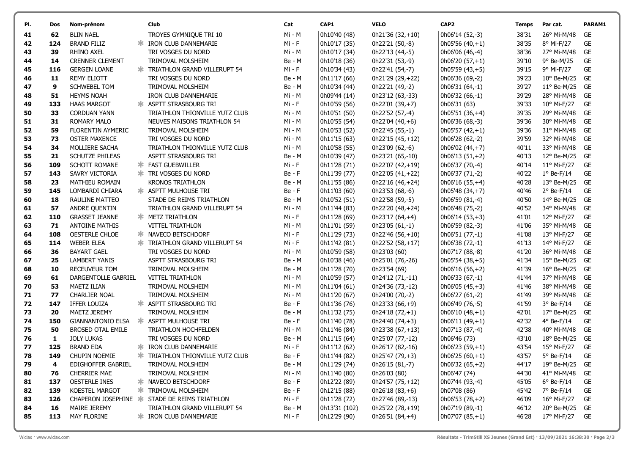| PI. | Dos | Nom-prénom               | Club                                          | Cat      | CAP1          | <b>VELO</b>        | CAP <sub>2</sub> | Temps | Par cat.             | PARAM1    |
|-----|-----|--------------------------|-----------------------------------------------|----------|---------------|--------------------|------------------|-------|----------------------|-----------|
| 41  | 62  | <b>BLIN NAEL</b>         | TROYES GYMNIQUE TRI 10                        | Mi - M   | 0h10'40 (48)  | 0h21'36 (32,+10)   | 0h06'14 (52,-3)  | 38'31 | 26° Mi-M/48          | GE        |
| 42  | 124 | <b>BRAND FILIZ</b>       | <b>* IRON CLUB DANNEMARIE</b>                 | Mi - F   | 0h10'17 (35)  | 0h22'21 (50,-8)    | $0h05'56(40,+1)$ | 38'35 | 8° Mi-F/27           | <b>GE</b> |
| 43  | 39  | RHINO AXEL               | TRI VOSGES DU NORD                            | Mi - M   | 0h10'17 (34)  | 0h22'13 (44,-5)    | 0h06'06 (46,-4)  | 38'36 | 27° Mi-M/48          | GE        |
| 44  | 14  | <b>CRENNER CLEMENT</b>   | TRIMOVAL MOLSHEIM                             | Be - M   | 0h10'18 (36)  | 0h22'31 (53,-9)    | $0h06'20(57,+1)$ | 39'10 | 9° Be-M/25           | GE        |
| 45  | 116 | <b>GERGEN LOANE</b>      | <b>* TRIATHLON GRAND VILLERUPT 54</b>         | Mi - F   | 0h10'34 (43)  | 0h22'41 (54,-7)    | $0h05'59(43,+5)$ | 39'15 | 9° Mi-F/27           | <b>GE</b> |
| 46  | 11  | <b>REMY ELIOTT</b>       | TRI VOSGES DU NORD                            | Be - M   | 0h11'17 (66)  | 0h21'29 (29,+22)   | 0h06'36 (69,-2)  | 39'23 | $10^{\circ}$ Be-M/25 | GE        |
| 47  | 9   | <b>SCHWEBEL TOM</b>      | TRIMOVAL MOLSHEIM                             | Be - M   | 0h10'34 (44)  | 0h22'21 (49,-2)    | 0h06'31 (64,-1)  | 39'27 | $11^{\circ}$ Be-M/25 | <b>GE</b> |
| 48  | 51  | <b>HEYMS NOAH</b>        | <b>IRON CLUB DANNEMARIE</b>                   | Mi - M   | 0h09'44 (14)  | 0h23'12 (63,-33)   | 0h06'32 (66,-1)  | 39'29 | 28° Mi-M/48          | <b>GE</b> |
| 49  | 133 | <b>HAAS MARGOT</b>       | <b>* ASPTT STRASBOURG TRI</b>                 | Mi - F   | 0h10'59 (56)  | 0h22'01 (39,+7)    | 0h06'31 (63)     | 39'33 | $10^{\circ}$ Mi-F/27 | <b>GE</b> |
| 50  | 33  | <b>CORDUAN YANN</b>      | TRIATHLON THIONVILLE YUTZ CLUB                | Mi - M   | 0h10'51 (50)  | 0h22'52 (57,-4)    | $0h05'51(36,+4)$ | 39'35 | 29° Mi-M/48          | GE        |
| 51  | 31  | <b>ROMARY MALO</b>       | <b>NEUVES MAISONS TRIATHLON 54</b>            | Mi - M   | 0h10'55 (54)  | 0h22'04 (40,+6)    | 0h06'36 (68,-3)  | 39'36 | 30° Mi-M/48          | GE        |
| 52  | 59  | FLORENTIN AYMERIC        | TRIMOVAL MOLSHEIM                             | Mi - M   | 0h10'53 (52)  | 0h22'45 (55,-1)    | $0h05'57(42,+1)$ | 39'36 | 31° Mi-M/48          | GE        |
| 53  | 73  | <b>OSTER MAXENCE</b>     | TRI VOSGES DU NORD                            | Mi - M   | 0h11'15 (63)  | 0h22'15 (45,+12)   | 0h06'28 (62,-2)  | 39'59 | 32° Mi-M/48          | <b>GE</b> |
| 54  | 34  | MOLLIERE SACHA           | TRIATHLON THIONVILLE YUTZ CLUB                | Mi - M   | 0h10'58 (55)  | 0h23'09 (62,-6)    | 0h06'02 (44,+7)  | 40'11 | 33° Mi-M/48          | <b>GE</b> |
| 55  | 21  | <b>SCHUTZE PHILEAS</b>   | ASPTT STRASBOURG TRI                          | Be - M   | 0h10'39 (47)  | 0h23'21 (65,-10)   | $0h06'13(51,+2)$ | 40'13 | 12° Be-M/25          | <b>GE</b> |
| 56  | 109 | SCHOTT ROMANE            | <b>* FAST GUEBWILLER</b>                      | Mi - F   | 0h11'28 (71)  | 0h22'07 (42,+19)   | 0h06'37 (70,-4)  | 40'14 | $11^{\circ}$ Mi-F/27 | <b>GE</b> |
| 57  | 143 | SAVRY VICTORIA           | <b>≭ TRI VOSGES DU NORD</b>                   | $Be - F$ | 0h11'39 (77)  | 0h22'05 (41,+22)   | 0h06'37 (71,-2)  | 40'22 | $1°$ Be-F/14         | <b>GE</b> |
| 58  | 23  | MATHIEU ROMAIN           | <b>KRONOS TRIATHLON</b>                       | Be - M   | 0h11'55 (86)  | 0h22'16 (46,+24)   | $0h06'16(55,+4)$ | 40'28 | 13° Be-M/25          | GE        |
| 59  | 145 | LOMBARDI CHIARA          | * ASPTT MULHOUSE TRI                          | $Be - F$ | 0h11'03 (60)  | 0h23'53 (68,-6)    | $0h05'48(34,+7)$ | 40'46 | $2°$ Be-F/14         | <b>GE</b> |
| 60  | 18  | RAULINE MATTEO           | STADE DE REIMS TRIATHLON                      | Be - M   | 0h10'52 (51)  | 0h22'58 (59,-5)    | 0h06'59 (81,-4)  | 40'50 | 14° Be-M/25          | <b>GE</b> |
| 61  | 57  | ANDRE QUENTIN            | TRIATHLON GRAND VILLERUPT 54                  | Mi - M   | 0h11'44 (83)  | 0h22'20 (48,+24)   | 0h06'48 (75,-2)  | 40'52 | 34° Mi-M/48          | GE        |
| 62  | 110 | <b>GRASSET JEANNE</b>    | <b>* METZ TRIATHLON</b>                       | Mi - F   | 0h11'28 (69)  | 0h23'17 (64,+4)    | $0h06'14(53,+3)$ | 41'01 | 12° Mi-F/27          | <b>GE</b> |
| 63  | 71  | <b>ANTOINE MATHIS</b>    | <b>VITTEL TRIATHLON</b>                       | Mi - M   | 0h11'01 (59)  | 0h23'05 (61,-1)    | 0h06'59 (82,-3)  | 41'06 | 35° Mi-M/48          | GE        |
| 64  | 108 | OESTERLE CHLOE           | <b>* NAVECO BETSCHDORF</b>                    | Mi - F   | 0h11'29 (73)  | 0h22'46 (56,+10)   | 0h06'51 (77,-1)  | 41'08 | 13° Mi-F/27          | GE        |
| 65  | 114 | <b>WEBER ELEA</b>        | <b>* TRIATHLON GRAND VILLERUPT 54</b>         | Mi - F   | 0h11'42 (81)  | 0h22'52 (58,+17)   | 0h06'38 (72,-1)  | 41'13 | 14° Mi-F/27          | <b>GE</b> |
| 66  | 36  | <b>BAYART GAEL</b>       | TRI VOSGES DU NORD                            | Mi - M   | 0h10'59 (58)  | 0h23'03 (60)       | 0h07'17 (88,-8)  | 41'20 | 36° Mi-M/48          | GE        |
| 67  | 25  | <b>LAMBERT YANIS</b>     | ASPTT STRASBOURG TRI                          | Be - M   | 0h10'38 (46)  | 0h25'01 (76,-26)   | $0h05'54(38,+5)$ | 41'34 | $15^{\circ}$ Be-M/25 | <b>GE</b> |
| 68  | 10  | RECEUVEUR TOM            | TRIMOVAL MOLSHEIM                             | Be - M   | 0h11'28 (70)  | 0h23'54 (69)       | 0h06'16 (56,+2)  | 41'39 | $16^{\circ}$ Be-M/25 | <b>GE</b> |
| 69  | 61  | DARGENTOLLE GABRIEL      | <b>VITTEL TRIATHLON</b>                       | Mi - M   | 0h10'59 (57)  | 0h24'12 (71,-11)   | 0h06'33 (67,-1)  | 41'44 | 37° Mi-M/48          | <b>GE</b> |
| 70  | 53  | <b>MAETZ ILIAN</b>       | TRIMOVAL MOLSHEIM                             | Mi - M   | 0h11'04 (61)  | 0h24'36 (73,-12)   | $0h06'05(45,+3)$ | 41'46 | 38° Mi-M/48          | GE        |
| 71  | 77  | <b>CHARLIER NOAL</b>     | TRIMOVAL MOLSHEIM                             | Mi - M   | 0h11'20 (67)  | 0h24'00 (70,-2)    | 0h06'27 (61,-2)  | 41'49 | 39° Mi-M/48          | GE        |
| 72  | 147 | IFFER LOUIZA             | <b>* ASPTT STRASBOURG TRI</b>                 | Be - F   | 0h11'36 (76)  | 0h23'33 (66,+9)    | 0h06'49 (76,-5)  | 41'59 | 3° Be-F/14           | GE        |
| 73  | 20  | MAETZ JEREMY             | TRIMOVAL MOLSHEIM                             | Be - M   | 0h11'32 (75)  | 0h24'18 (72,+1)    | $0h06'10(48,+1)$ | 42'01 | 17° Be-M/25          | <b>GE</b> |
| 74  | 150 | <b>GIANNANTONIO ELSA</b> | <b>* ASPTT MULHOUSE TRI</b>                   | $Be - F$ | 0h11'40 (78)  | 0h24'40 $(74, +3)$ | $0h06'11(49,+1)$ | 42'32 | $4^{\circ}$ Be-F/14  | <b>GE</b> |
| 75  | 50  | <b>BROSED OTAL EMILE</b> | TRIATHLON HOCHFELDEN                          | Mi - M   | 0h11'46 (84)  | 0h23'38 (67,+13)   | 0h07'13 (87,-4)  | 42'38 | 40° Mi-M/48          | GE        |
| 76  | 1   | <b>JOLY LUKAS</b>        | TRI VOSGES DU NORD                            | Be - M   | 0h11'15 (64)  | 0h25'07 (77,-12)   | 0h06'46 (73)     | 43'10 | 18° Be-M/25          | <b>GE</b> |
| 77  | 125 | <b>BRAND EDA</b>         | <b>* IRON CLUB DANNEMARIE</b>                 | Mi - F   | 0h11'12 (62)  | 0h26'17 (82,-16)   | 0h06'23 (59,+1)  | 43'54 | 15° Mi-F/27          | <b>GE</b> |
| 78  | 149 | CHUPIN NOEMIE            | TRIATHLON THIONVILLE YUTZ CLUB                | $Be - F$ | 0h11'44 (82)  | 0h25'47 (79,+3)    | $0h06'25(60,+1)$ | 43'57 | 5° Be-F/14           | <b>GE</b> |
| 79  | 4   | EDIGHOFFER GABRIEL       | TRIMOVAL MOLSHEIM                             | Be - M   | 0h11'29 (74)  | 0h26'15 (81,-7)    | $0h06'32(65,+2)$ | 44'17 | 19° Be-M/25          | GE        |
| 80  | 76  | <b>CHERRIER MAE</b>      | TRIMOVAL MOLSHEIM                             | Mi - M   | 0h11'40 (80)  | 0h26'03 (80)       | 0h06'47 (74)     | 44'30 | 41° Mi-M/48          | GE        |
| 81  | 137 | OESTERLE INES            | * NAVECO BETSCHDORF                           | Be - F   | 0h12'22 (89)  | 0h24'57 (75,+12)   | 0h07'44 (93,-4)  | 45'05 | $6^{\circ}$ Be-F/14  | GE        |
| 82  | 139 | KOESTEL MARGOT           | <b>* TRIMOVAL MOLSHEIM</b>                    | Be - F   | 0h12'15 (88)  | $0h26'18(83,+6)$   | 0h07'08 (86)     | 45'42 | 7° Be-F/14           | GE        |
| 83  | 126 |                          | CHAPERON JOSEPHINE * STADE DE REIMS TRIATHLON | $Mi - F$ | 0h11'28 (72)  | 0h27'46 (89,-13)   | $0h06'53(78,+2)$ | 46'09 | 16° Mi-F/27          | GE        |
| 84  | 16  | MAIRE JEREMY             | TRIATHLON GRAND VILLERUPT 54                  | Be - M   | 0h13'31 (102) | 0h25'22 (78,+19)   | 0h07'19 (89,-1)  | 46'12 | 20° Be-M/25          | GE        |
| 85  | 113 | MAY FLORINE              | <b>* IRON CLUB DANNEMARIE</b>                 | $Mi - F$ | 0h12'29 (90)  | 0h26'51 (84,+4)    | $0h07'07(85,+1)$ | 46'28 | 17° Mi-F/27          | GE        |